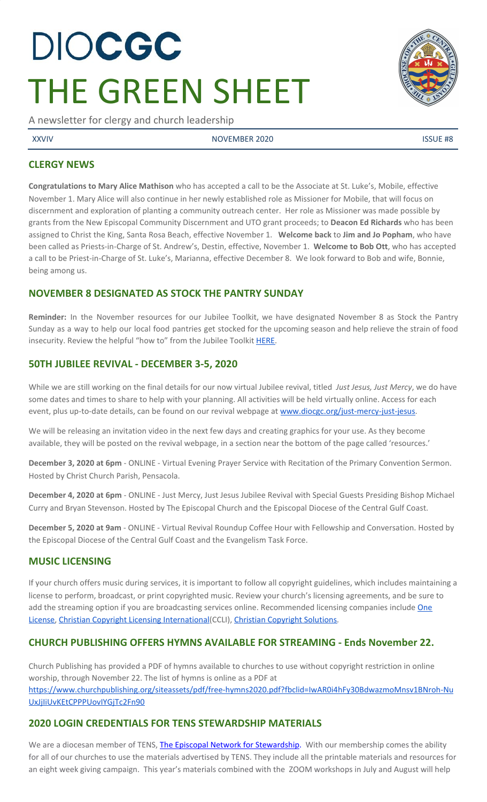# DIOCGC THE GREEN SHEET

A newsletter for clergy and church leadership

XXVIV NOVEMBER 2020 ISSUE #8

# **CLERGY NEWS**

**Congratulations to Mary Alice Mathison** who has accepted a call to be the Associate at St. Luke's, Mobile, effective November 1. Mary Alice will also continue in her newly established role as Missioner for Mobile, that will focus on discernment and exploration of planting a community outreach center. Her role as Missioner was made possible by grants from the New Episcopal Community Discernment and UTO grant proceeds; to **Deacon Ed Richards** who has been assigned to Christ the King, Santa Rosa Beach, effective November 1. **Welcome back** to **Jim and Jo Popham**, who have been called as Priests-in-Charge of St. Andrew's, Destin, effective, November 1. **Welcome to Bob Ott**, who has accepted a call to be Priest-in-Charge of St. Luke's, Marianna, effective December 8. We look forward to Bob and wife, Bonnie, being among us.

# **NOVEMBER 8 DESIGNATED AS STOCK THE PANTRY SUNDAY**

**Reminder:** In the November resources for our Jubilee Toolkit, we have designated November 8 as Stock the Pantry Sunday as a way to help our local food pantries get stocked for the upcoming season and help relieve the strain of food insecurity. Review the helpful "how to" from the Jubilee Toolkit [HERE.](https://docs.google.com/document/d/1iilUSW5HMUq_24FCI8hcgiUnXwpgxwRNmL6czaHJTqQ/edit?usp=sharing)

# **50TH JUBILEE REVIVAL - DECEMBER 3-5, 2020**

While we are still working on the final details for our now virtual Jubilee revival, titled *Just Jesus, Just Mercy*, we do have some dates and times to share to help with your planning. All activities will be held virtually online. Access for each event, plus up-to-date details, can be found on our revival webpage at [www.diocgc.org/just-mercy-just-jesus.](http://www.diocgc.org/just-mercy-just-jesus)

We will be releasing an invitation video in the next few days and creating graphics for your use. As they become available, they will be posted on the revival webpage, in a section near the bottom of the page called 'resources.'

**December 3, 2020 at 6pm** - ONLINE - Virtual Evening Prayer Service with Recitation of the Primary Convention Sermon. Hosted by Christ Church Parish, Pensacola.

**December 4, 2020 at 6pm** - ONLINE - Just Mercy, Just Jesus Jubilee Revival with Special Guests Presiding Bishop Michael Curry and Bryan Stevenson. Hosted by The Episcopal Church and the Episcopal Diocese of the Central Gulf Coast.

**December 5, 2020 at 9am** - ONLINE - Virtual Revival Roundup Coffee Hour with Fellowship and Conversation. Hosted by the Episcopal Diocese of the Central Gulf Coast and the Evangelism Task Force.

#### **MUSIC LICENSING**

If your church offers music during services, it is important to follow all copyright guidelines, which includes maintaining a license to perform, broadcast, or print copyrighted music. Review your church's licensing agreements, and be sure to add the streaming option if you are broadcasting services online. Recommended licensing companies include [One](https://onelicense.net/) [License,](https://onelicense.net/) Christian Copyright Licensing [International](https://us.ccli.com/)(CCLI), Christian [Copyright](https://christiancopyrightsolutions.com/) Solutions.

# **CHURCH PUBLISHING OFFERS HYMNS AVAILABLE FOR STREAMING - Ends November 22.**

Church Publishing has provided a PDF of hymns available to churches to use without copyright restriction in online worship, through November 22. The list of hymns is online as a PDF a[t](https://www.churchpublishing.org/siteassets/pdf/free-hymns2020.pdf?fbclid=IwAR0i4hFy30BdwazmoMnsv1BNroh-NuUxJjIiUvKEtCPPPUovIYGjTc2Fn90) [https://www.churchpublishing.org/siteassets/pdf/free-hymns2020.pdf?fbclid=IwAR0i4hFy30BdwazmoMnsv1BNroh-Nu](https://www.churchpublishing.org/siteassets/pdf/free-hymns2020.pdf?fbclid=IwAR0i4hFy30BdwazmoMnsv1BNroh-NuUxJjIiUvKEtCPPPUovIYGjTc2Fn90) [UxJjIiUvKEtCPPPUovIYGjTc2Fn90](https://www.churchpublishing.org/siteassets/pdf/free-hymns2020.pdf?fbclid=IwAR0i4hFy30BdwazmoMnsv1BNroh-NuUxJjIiUvKEtCPPPUovIYGjTc2Fn90)

# **2020 LOGIN CREDENTIALS FOR TENS STEWARDSHIP MATERIALS**

We are a diocesan member of [T](http://r20.rs6.net/tn.jsp?f=0012pqt_t4bfTKnRF8Xmufb-M4Ry8JkNpVzuf-DfMr466n2fJlrEabEgWXavWDn2Hx3i5ph5cMsQu0KkvBM2IIao7IcazXgBLtGdZrXLuo4poO7i2eq_EiuExGDSC-wd1a3AjKcDRDPj18=&c=9_JBIUfw9Y9WIzA02dVBmW_Dc5eF3SbOEA5-vLB-MbLj0nQWfaMvNg==&ch=bNQQUmRhILUjCbu1RkHCQ0rqqsD1-RBYprcIQ3NuhLlaKPcsXS1TyQ==)ENS, The Episcopal Network for [Stewardship](http://r20.rs6.net/tn.jsp?f=0012pqt_t4bfTKnRF8Xmufb-M4Ry8JkNpVzuf-DfMr466n2fJlrEabEgWXavWDn2Hx3i5ph5cMsQu0KkvBM2IIao7IcazXgBLtGdZrXLuo4poO7i2eq_EiuExGDSC-wd1a3AjKcDRDPj18=&c=9_JBIUfw9Y9WIzA02dVBmW_Dc5eF3SbOEA5-vLB-MbLj0nQWfaMvNg==&ch=bNQQUmRhILUjCbu1RkHCQ0rqqsD1-RBYprcIQ3NuhLlaKPcsXS1TyQ==). With our membership comes the ability for all of our churches to use the materials advertised by TENS. They include all the printable materials and resources for an eight week giving campaign. This year's materials combined with the ZOOM workshops in July and August will help

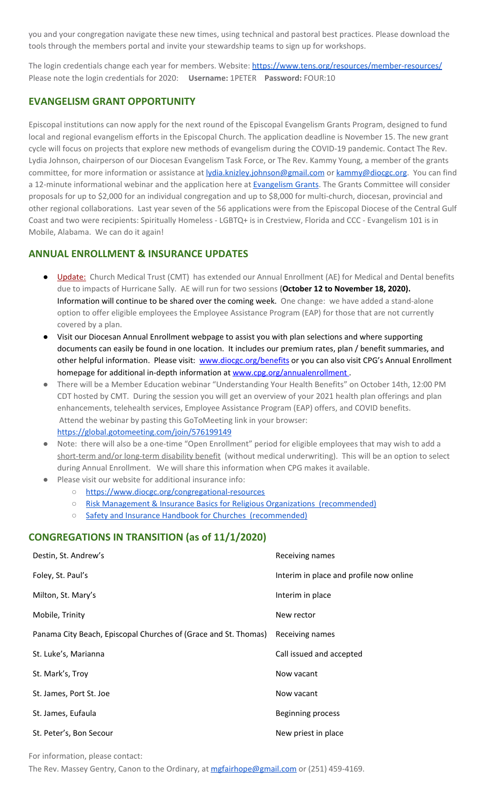you and your congregation navigate these new times, using technical and pastoral best practices. Please download the tools through the members portal and invite your stewardship teams to sign up for workshops.

The login credentials change each year for members. Website: <https://www.tens.org/resources/member-resources/> Please note the login credentials for 2020: **Username:** 1PETER **Password:** FOUR:10

### **EVANGELISM GRANT OPPORTUNITY**

Episcopal institutions can now apply for the next round of the Episcopal Evangelism Grants Program, designed to fund local and regional evangelism efforts in the Episcopal Church. The application deadline is November 15. The new grant cycle will focus on projects that explore new methods of evangelism during the COVID-19 pandemic. Contact The Rev. Lydia Johnson, chairperson of our Diocesan Evangelism Task Force, or The Rev. Kammy Young, a member of the grants committee, for more information or assistance at [lydia.knizley.johnson@gmail.com](mailto:lydia.knizley.johnson@gmail.com) or [kammy@diocgc.org.](mailto:kammy@diocgc.org) You can find a 12-minute informational webinar and the application here at [Evangelism](https://episcopalchurch.org/grants/evangelism-grants) Grants. The Grants Committee will consider proposals for up to \$2,000 for an individual congregation and up to \$8,000 for multi-church, diocesan, provincial and other regional collaborations. Last year seven of the 56 applications were from the Episcopal Diocese of the Central Gulf Coast and two were recipients: Spiritually Homeless - LGBTQ+ is in Crestview, Florida and CCC - Evangelism 101 is in Mobile, Alabama. We can do it again!

# **ANNUAL ENROLLMENT & INSURANCE UPDATES**

- **Update:** Church Medical Trust (CMT) has extended our Annual Enrollment (AE) for Medical and Dental benefits due to impacts of Hurricane Sally. AE will run for two sessions **(October 12 to November 18, 2020).** Information will continue to be shared over the coming week. One change: we have added a stand-alone option to offer eligible employees the Employee Assistance Program (EAP) for those that are not currently covered by a plan.
- Visit our Diocesan Annual Enrollment webpage to assist you with plan selections and where supporting documents can easily be found in one location. It includes our premium rates, plan / benefit summaries, and other helpful information. Please visit: [www.diocgc.org/benefits](http://www.diocgc.org/benefits) or you can also visit CPG's Annual Enrollment homepage for additional in-depth information at [www.cpg.org/annualenrollment](http://www.cpg.org/annualenrollment).
- There will be a Member Education webinar "Understanding Your Health Benefits" on October 14th, 12:00 PM CDT hosted by CMT. During the session you will get an overview of your 2021 health plan offerings and plan enhancements, telehealth services, Employee Assistance Program (EAP) offers, and COVID benefits. Attend the webinar by pasting this GoToMeeting link in your browser: <https://global.gotomeeting.com/join/576199149>
- Note: there will also be a one-time "Open Enrollment" period for eligible employees that may wish to add a short-term and/or long-term disability benefit (without medical underwriting). This will be an option to select during Annual Enrollment. We will share this information when CPG makes it available.
- Please visit our website for additional insurance info:
	- <https://www.diocgc.org/congregational-resources>
	- Risk Management & Insurance Basics for Religious Organizations [\(recommended\)](https://2f23db9c-81c0-437f-88c1-0d3b99fdb03d.filesusr.com/ugd/ca270f_0fc945a39bad470191c4075c97602c08.pdf)
	- Safety and Insurance Handbook for Churches [\(recommended\)](https://2f23db9c-81c0-437f-88c1-0d3b99fdb03d.filesusr.com/ugd/4525a9_6b89020a60b040f49e2f7feb44b56873.pdf)

#### **CONGREGATIONS IN TRANSITION (as of 11/1/2020)**

| Destin, St. Andrew's                                            | Receiving names                         |
|-----------------------------------------------------------------|-----------------------------------------|
| Foley, St. Paul's                                               | Interim in place and profile now online |
| Milton, St. Mary's                                              | Interim in place                        |
| Mobile, Trinity                                                 | New rector                              |
| Panama City Beach, Episcopal Churches of (Grace and St. Thomas) | Receiving names                         |
| St. Luke's, Marianna                                            | Call issued and accepted                |
| St. Mark's, Troy                                                | Now vacant                              |
| St. James, Port St. Joe                                         | Now vacant                              |
| St. James, Eufaula                                              | Beginning process                       |
| St. Peter's, Bon Secour                                         | New priest in place                     |

For information, please contact:

The Rev. Massey Gentry, Canon to the Ordinary, at [mgfairhope@gmail.com](mailto:mgfairhope@gmail.com) or (251) 459-4169.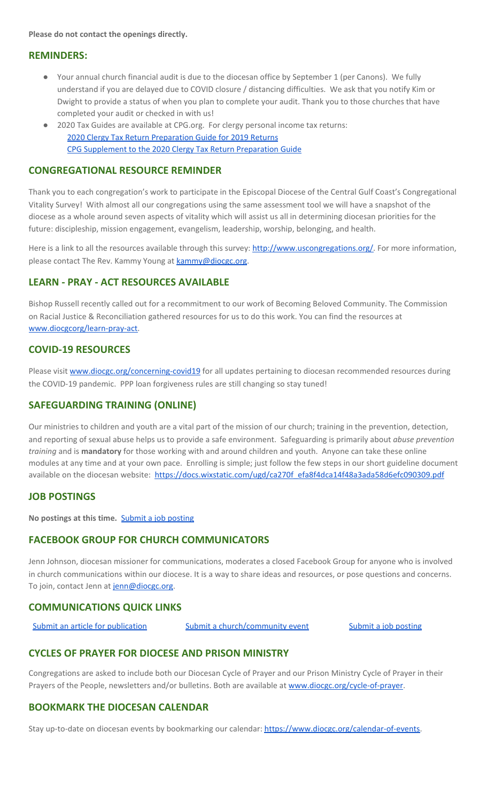**Please do not contact the openings directly.**

#### **REMINDERS:**

- Your annual church financial audit is due to the diocesan office by September 1 (per Canons). We fully understand if you are delayed due to COVID closure / distancing difficulties. We ask that you notify Kim or Dwight to provide a status of when you plan to complete your audit. Thank you to those churches that have completed your audit or checked in with us!
- 2020 Tax Guides are available at CPG.org. For clergy personal income tax returns: 2020 Clergy Tax Return [Preparation](https://www.cpg.org/linkservid/D998735C-CE21-6189-EB815B133ECD868A/showMeta/0/?label=2020%20Clergy%20Tax%20Return%20Preparation%20Guide%20for%202019%20Tax%20Returns) Guide for 2019 Returns CPG [Supplement](https://www.cpg.org/linkservid/DA0301BC-D8CF-06D3-C4C6BAB106394432/showMeta/0/?label=Supplement%20to%20the%202020%20Clergy%20Tax%20Return%20Preparation%20Guide%20for%202019%20Returns) to the 2020 Clergy Tax Return Preparation Guide

#### **CONGREGATIONAL RESOURCE REMINDER**

Thank you to each congregation's work to participate in the Episcopal Diocese of the Central Gulf Coast's Congregational Vitality Survey! With almost all our congregations using the same assessment tool we will have a snapshot of the diocese as a whole around seven aspects of vitality which will assist us all in determining diocesan priorities for the future: discipleship, mission engagement, evangelism, leadership, worship, belonging, and health.

Here is a link to all the resources available through this survey: [http://www.uscongregations.org/.](http://www.uscongregations.org/) For more information, please contact The Rev. Kammy Young at [kammy@diocgc.org](mailto:kammy@diocgc.org).

#### **LEARN - PRAY - ACT RESOURCES AVAILABLE**

Bishop Russell recently called out for a recommitment to our work of Becoming Beloved Community. The Commission on Racial Justice & Reconciliation gathered resources for us to do this work. You can find the resources at [www.diocgcorg/learn-pray-act.](http://www.diocgcorg/learn-pray-act)

#### **COVID-19 RESOURCES**

Please visit [www.diocgc.org/concerning-covid19](http://www.diocgc.org/concerning-covid19) for all updates pertaining to diocesan recommended resources during the COVID-19 pandemic. PPP loan forgiveness rules are still changing so stay tuned!

#### **SAFEGUARDING TRAINING (ONLINE)**

Our ministries to children and youth are a vital part of the mission of our church; training in the prevention, detection, and reporting of sexual abuse helps us to provide a safe environment. Safeguarding is primarily about *abuse prevention training* and is **mandatory** for those working with and around children and youth. Anyone can take these online modules at any time and at your own pace. Enrolling is simple; just follow the few steps in our short guideline document available on the diocesan website: [https://docs.wixstatic.com/ugd/ca270f\\_efa8f4dca14f48a3ada58d6efc090309.pdf](https://docs.wixstatic.com/ugd/ca270f_efa8f4dca14f48a3ada58d6efc090309.pdf)

#### **JOB POSTINGS**

**No postings at this time.** Submit a job [posting](https://www.emailmeform.com/builder/form/0cZqC653GdH24p01aWQDfUh)

#### **FACEBOOK GROUP FOR CHURCH COMMUNICATORS**

Jenn Johnson, diocesan missioner for communications, moderates a closed Facebook Group for anyone who is involved in church communications within our diocese. It is a way to share ideas and resources, or pose questions and concerns. To join, contact Jenn at [jenn@diocgc.org.](mailto:jenn@diocgc.org)

#### **COMMUNICATIONS QUICK LINKS**

Submit an article for [publication](http://www.emailmeform.com/builder/form/XqOP984Ae60c8m6ynr) Submit a [church/community](http://www.emailmeform.com/builder/form/eOM4Bb6VTb78y20Wrapf8) event Submit a job [posting](https://www.emailmeform.com/builder/form/0cZqC653GdH24p01aWQDfUh)

#### **CYCLES OF PRAYER FOR DIOCESE AND PRISON MINISTRY**

Congregations are asked to include both our Diocesan Cycle of Prayer and our Prison Ministry Cycle of Prayer in their Prayers of the People, newsletters and/or bulletins. Both are available at [www.diocgc.org/cycle-of-prayer.](http://www.diocgc.org/cycle-of-prayer)

#### **BOOKMARK THE DIOCESAN CALENDAR**

Stay up-to-date on diocesan events by bookmarking our calendar: [https://www.diocgc.org/calendar-of-events.](https://www.diocgc.org/calendar-of-events)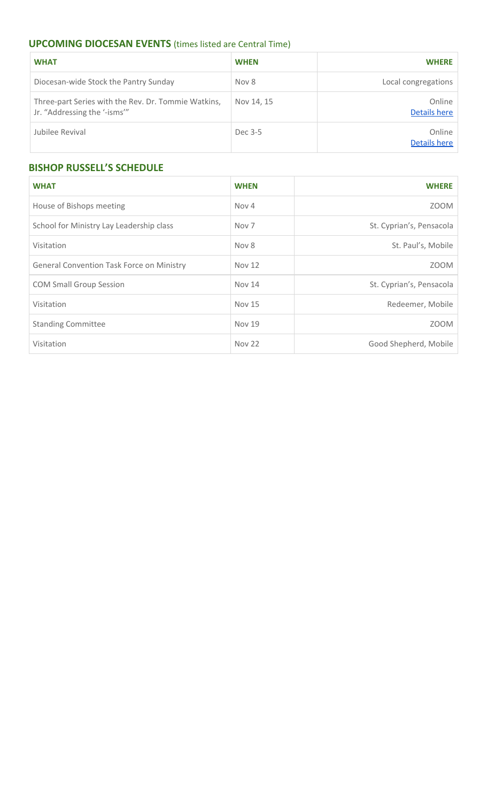# **UPCOMING DIOCESAN EVENTS** (times listed are Central Time)

| <b>WHAT</b>                                                                         | <b>WHEN</b> | <b>WHERE</b>           |
|-------------------------------------------------------------------------------------|-------------|------------------------|
| Diocesan-wide Stock the Pantry Sunday                                               | Nov 8       | Local congregations    |
| Three-part Series with the Rev. Dr. Tommie Watkins,<br>Jr. "Addressing the '-isms'" | Nov 14, 15  | Online<br>Details here |
| Jubilee Revival                                                                     | Dec 3-5     | Online<br>Details here |

# **BISHOP RUSSELL'S SCHEDULE**

| <b>WHAT</b>                                      | <b>WHEN</b>      | <b>WHERE</b>             |
|--------------------------------------------------|------------------|--------------------------|
| House of Bishops meeting                         | Nov 4            | <b>ZOOM</b>              |
| School for Ministry Lay Leadership class         | Nov <sub>7</sub> | St. Cyprian's, Pensacola |
| Visitation                                       | Nov 8            | St. Paul's, Mobile       |
| <b>General Convention Task Force on Ministry</b> | <b>Nov 12</b>    | <b>ZOOM</b>              |
| <b>COM Small Group Session</b>                   | <b>Nov 14</b>    | St. Cyprian's, Pensacola |
| Visitation                                       | <b>Nov 15</b>    | Redeemer, Mobile         |
| <b>Standing Committee</b>                        | <b>Nov 19</b>    | <b>ZOOM</b>              |
| Visitation                                       | <b>Nov 22</b>    | Good Shepherd, Mobile    |